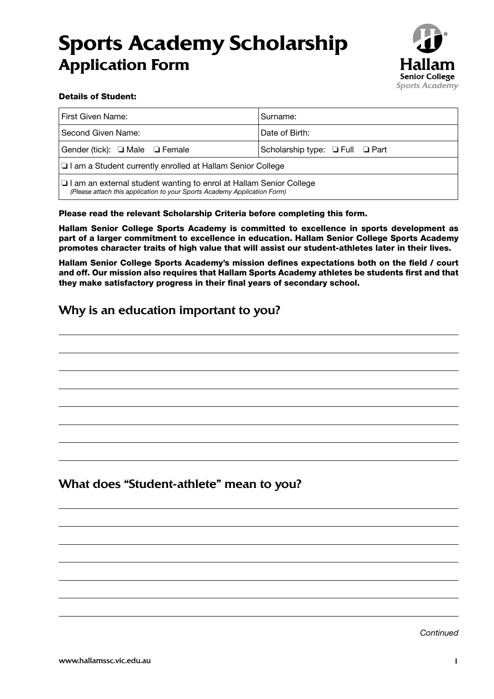# **Sports Academy Scholarship Application Form**



### Details of Student:

| First Given Name:                                                                                                                                     | Surname:                        |  |
|-------------------------------------------------------------------------------------------------------------------------------------------------------|---------------------------------|--|
| Second Given Name:                                                                                                                                    | Date of Birth:                  |  |
| Gender (tick): $\Box$ Male $\Box$ Female                                                                                                              | Scholarship type: I Full I Part |  |
| $\Box$ I am a Student currently enrolled at Hallam Senior College                                                                                     |                                 |  |
| $\Box$ I am an external student wanting to enrol at Hallam Senior College<br>(Please attach this application to your Sports Academy Application Form) |                                 |  |

#### Please read the relevant Scholarship Criteria before completing this form.

Hallam Senior College Sports Academy is committed to excellence in sports development as part of a larger commitment to excellence in education. Hallam Senior College Sports Academy promotes character traits of high value that will assist our student-athletes later in their lives.

Hallam Senior College Sports Academy's mission defines expectations both on the field / court and off. Our mission also requires that Hallam Sports Academy athletes be students first and that they make satisfactory progress in their final years of secondary school.

## Why is an education important to you?

## What does "Student-athlete" mean to you?

*Continued*